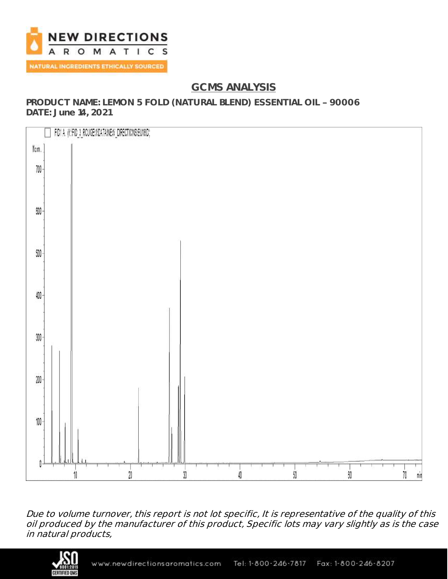

# **GCMS ANALYSIS**

**PRODUCT NAME: LEMON 5 FOLD (NATURAL BLEND) ESSENTIAL OIL 90006 DATE: June 14, 2021**



Due to volume turnover, this report is not lot specific, It is representative of the quality of this oil produced by the manufacturer of this product, Specific lots may vary slightly as is the case in natural products,

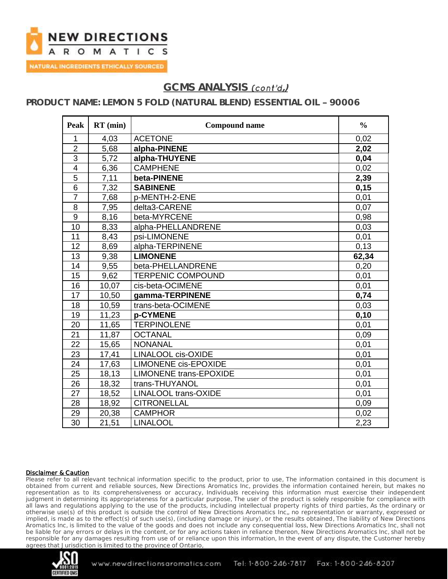

## GCMS ANALYSIS *(cont'd,)*

### **PRODUCT NAME: LEMON 5 FOLD (NATURAL BLEND) ESSENTIAL OIL 90006**

| Peak            | $RT$ (min) | <b>Compound name</b>          | $\frac{0}{0}$ |
|-----------------|------------|-------------------------------|---------------|
| 1               | 4,03       | <b>ACETONE</b>                | 0,02          |
| $\overline{2}$  | 5,68       | alpha-PINENE                  | 2,02          |
| $\overline{3}$  | 5,72       | alpha-THUYENE                 | 0,04          |
| $\overline{4}$  | 6,36       | <b>CAMPHENE</b>               | 0,02          |
| 5               | 7,11       | beta-PINENE                   | 2,39          |
| 6               | 7,32       | <b>SABINENE</b>               | 0,15          |
| $\overline{7}$  | 7,68       | p-MENTH-2-ENE                 | 0,01          |
| 8               | 7,95       | delta3-CARENE                 | 0,07          |
| $\overline{9}$  | 8,16       | beta-MYRCENE                  | 0,98          |
| 10              | 8,33       | alpha-PHELLANDRENE            | 0,03          |
| 11              | 8,43       | psi-LIMONENE                  | 0,01          |
| 12              | 8,69       | alpha-TERPINENE               | 0, 13         |
| 13              | 9,38       | <b>LIMONENE</b>               | 62,34         |
| 14              | 9,55       | beta-PHELLANDRENE             | 0,20          |
| 15              | 9,62       | <b>TERPENIC COMPOUND</b>      | 0,01          |
| 16              | 10,07      | cis-beta-OCIMENE              | 0,01          |
| 17              | 10,50      | gamma-TERPINENE               | 0,74          |
| 18              | 10,59      | trans-beta-OCIMENE            | 0,03          |
| 19              | 11,23      | p-CYMENE                      | 0,10          |
| 20              | 11,65      | <b>TERPINOLENE</b>            | 0,01          |
| 21              | 11,87      | <b>OCTANAL</b>                | 0,09          |
| 22              | 15,65      | <b>NONANAL</b>                | 0,01          |
| 23              | 17,41      | <b>LINALOOL cis-OXIDE</b>     | 0,01          |
| 24              | 17,63      | <b>LIMONENE cis-EPOXIDE</b>   | 0,01          |
| 25              | 18,13      | <b>LIMONENE trans-EPOXIDE</b> | 0,01          |
| 26              | 18,32      | trans-THUYANOL                | 0,01          |
| $\overline{27}$ | 18,52      | <b>LINALOOL trans-OXIDE</b>   | 0,01          |
| 28              | 18,92      | <b>CITRONELLAL</b>            | 0,09          |
| 29              | 20,38      | <b>CAMPHOR</b>                | 0,02          |
| $\overline{30}$ | 21,51      | <b>LINALOOL</b>               | 2,23          |

#### Disclaimer & Caution

Please refer to all relevant technical information specific to the product, prior to use, The information contained in this document is obtained from current and reliable sources, New Directions Aromatics Inc, provides the information contained herein, but makes no representation as to its comprehensiveness or accuracy, Individuals receiving this information must exercise their independent judgment in determining its appropriateness for a particular purpose, The user of the product is solely responsible for compliance with all laws and regulations applying to the use of the products, including intellectual property rights of third parties, As the ordinary or otherwise use(s) of this product is outside the control of New Directions Aromatics Inc,, no representation or warranty, expressed or implied, is made as to the effect(s) of such use(s), (including damage or injury), or the results obtained, The liability of New Directions Aromatics Inc, is limited to the value of the goods and does not include any consequential loss, New Directions Aromatics Inc, shall not be liable for any errors or delays in the content, or for any actions taken in reliance thereon, New Directions Aromatics Inc, shall not be responsible for any damages resulting from use of or reliance upon this information, In the event of any dispute, the Customer hereby agrees that Jurisdiction is limited to the province of Ontario,